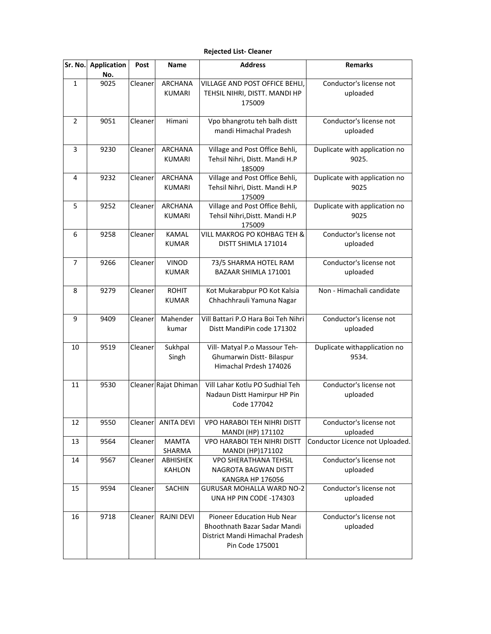## **Rejected List- Cleaner**

| Sr. No. | <b>Application</b><br>No. | Post    | Name                             | <b>Address</b>                                                                                                          | <b>Remarks</b>                         |
|---------|---------------------------|---------|----------------------------------|-------------------------------------------------------------------------------------------------------------------------|----------------------------------------|
| 1       | 9025                      | Cleaner | <b>ARCHANA</b><br><b>KUMARI</b>  | VILLAGE AND POST OFFICE BEHLI,<br>TEHSIL NIHRI, DISTT. MANDI HP<br>175009                                               | Conductor's license not<br>uploaded    |
| 2       | 9051                      | Cleaner | Himani                           | Vpo bhangrotu teh balh distt<br>mandi Himachal Pradesh                                                                  | Conductor's license not<br>uploaded    |
| 3       | 9230                      | Cleaner | <b>ARCHANA</b><br><b>KUMARI</b>  | Village and Post Office Behli,<br>Tehsil Nihri, Distt. Mandi H.P<br>185009                                              | Duplicate with application no<br>9025. |
| 4       | 9232                      | Cleaner | <b>ARCHANA</b><br><b>KUMARI</b>  | Village and Post Office Behli,<br>Tehsil Nihri, Distt. Mandi H.P<br>175009                                              | Duplicate with application no<br>9025  |
| 5       | 9252                      | Cleaner | ARCHANA<br><b>KUMARI</b>         | Village and Post Office Behli,<br>Tehsil Nihri, Distt. Mandi H.P<br>175009                                              | Duplicate with application no<br>9025  |
| 6       | 9258                      | Cleaner | <b>KAMAL</b><br><b>KUMAR</b>     | VILL MAKROG PO KOHBAG TEH &<br>DISTT SHIMLA 171014                                                                      | Conductor's license not<br>uploaded    |
| 7       | 9266                      | Cleaner | <b>VINOD</b><br><b>KUMAR</b>     | 73/5 SHARMA HOTEL RAM<br>BAZAAR SHIMLA 171001                                                                           | Conductor's license not<br>uploaded    |
| 8       | 9279                      | Cleaner | <b>ROHIT</b><br><b>KUMAR</b>     | Kot Mukarabpur PO Kot Kalsia<br>Chhachhrauli Yamuna Nagar                                                               | Non - Himachali candidate              |
| 9       | 9409                      | Cleaner | Mahender<br>kumar                | Vill Battari P.O Hara Boi Teh Nihri<br>Distt MandiPin code 171302                                                       | Conductor's license not<br>uploaded    |
| 10      | 9519                      | Cleaner | Sukhpal<br>Singh                 | Vill- Matyal P.o Massour Teh-<br>Ghumarwin Distt-Bilaspur<br>Himachal Prdesh 174026                                     | Duplicate withapplication no<br>9534.  |
| 11      | 9530                      |         | Cleaner Rajat Dhiman             | Vill Lahar Kotlu PO Sudhial Teh<br>Nadaun Distt Hamirpur HP Pin<br>Code 177042                                          | Conductor's license not<br>uploaded    |
| 12      | 9550                      | Cleaner | <b>ANITA DEVI</b>                | <b>VPO HARABOI TEH NIHRI DISTT</b><br>MANDI (HP) 171102                                                                 | Conductor's license not<br>uploaded    |
| 13      | 9564                      | Cleaner | <b>MAMTA</b><br>SHARMA           | VPO HARABOI TEH NIHRI DISTT<br>MANDI (HP)171102                                                                         | Conductor Licence not Uploaded.        |
| 14      | 9567                      | Cleaner | <b>ABHISHEK</b><br><b>KAHLON</b> | VPO SHERATHANA TEHSIL<br>NAGROTA BAGWAN DISTT<br><b>KANGRA HP 176056</b>                                                | Conductor's license not<br>uploaded    |
| 15      | 9594                      | Cleaner | SACHIN                           | <b>GURUSAR MOHALLA WARD NO-2</b><br>UNA HP PIN CODE -174303                                                             | Conductor's license not<br>uploaded    |
| 16      | 9718                      | Cleaner | RAJNI DEVI                       | <b>Pioneer Education Hub Near</b><br>Bhoothnath Bazar Sadar Mandi<br>District Mandi Himachal Pradesh<br>Pin Code 175001 | Conductor's license not<br>uploaded    |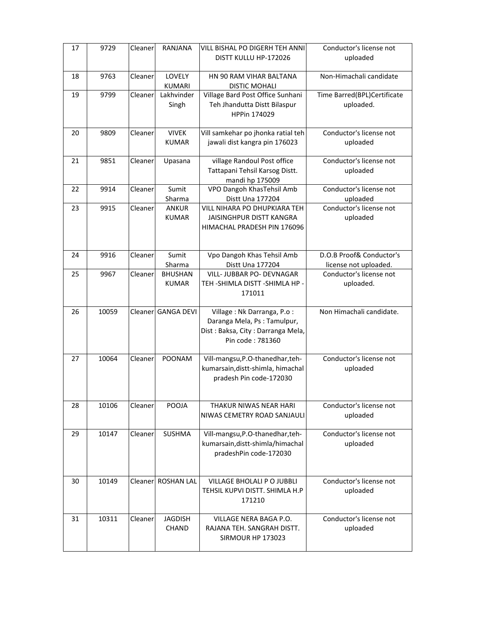| 17 | 9729  | Cleaner | RANJANA                        | <b>VILL BISHAL PO DIGERH TEH ANNI</b><br>DISTT KULLU HP-172026                                                      | Conductor's license not<br>uploaded               |
|----|-------|---------|--------------------------------|---------------------------------------------------------------------------------------------------------------------|---------------------------------------------------|
| 18 | 9763  | Cleaner | LOVELY<br><b>KUMARI</b>        | HN 90 RAM VIHAR BALTANA<br><b>DISTIC MOHALI</b>                                                                     | Non-Himachali candidate                           |
| 19 | 9799  | Cleaner | Lakhvinder<br>Singh            | Village Bard Post Office Sunhani<br>Teh Jhandutta Distt Bilaspur<br>HPPin 174029                                    | Time Barred(BPL)Certificate<br>uploaded.          |
| 20 | 9809  | Cleaner | <b>VIVEK</b><br><b>KUMAR</b>   | Vill samkehar po jhonka ratial teh<br>jawali dist kangra pin 176023                                                 | Conductor's license not<br>uploaded               |
| 21 | 9851  | Cleaner | Upasana                        | village Randoul Post office<br>Tattapani Tehsil Karsog Distt.<br>mandi hp 175009                                    | Conductor's license not<br>uploaded               |
| 22 | 9914  | Cleaner | Sumit<br>Sharma                | VPO Dangoh KhasTehsil Amb<br>Distt Una 177204                                                                       | Conductor's license not<br>uploaded               |
| 23 | 9915  | Cleaner | <b>ANKUR</b><br><b>KUMAR</b>   | <b>VILL NIHARA PO DHUPKIARA TEH</b><br><b>JAISINGHPUR DISTT KANGRA</b><br>HIMACHAL PRADESH PIN 176096               | Conductor's license not<br>uploaded               |
| 24 | 9916  | Cleaner | Sumit<br>Sharma                | Vpo Dangoh Khas Tehsil Amb<br>Distt Una 177204                                                                      | D.O.B Proof& Conductor's<br>license not uploaded. |
| 25 | 9967  | Cleaner | <b>BHUSHAN</b><br><b>KUMAR</b> | VILL- JUBBAR PO- DEVNAGAR<br>TEH-SHIMLA DISTT-SHIMLA HP-<br>171011                                                  | Conductor's license not<br>uploaded.              |
| 26 | 10059 | Cleaner | <b>GANGA DEVI</b>              | Village: Nk Darranga, P.o :<br>Daranga Mela, Ps: Tamulpur,<br>Dist: Baksa, City: Darranga Mela,<br>Pin code: 781360 | Non Himachali candidate.                          |
| 27 | 10064 | Cleaner | POONAM                         | Vill-mangsu, P.O-thanedhar, teh-<br>kumarsain, distt-shimla, himachal<br>pradesh Pin code-172030                    | Conductor's license not<br>uploaded               |
| 28 | 10106 | Cleaner | POOJA                          | THAKUR NIWAS NEAR HARI<br>NIWAS CEMETRY ROAD SANJAULI                                                               | Conductor's license not<br>uploaded               |
| 29 | 10147 | Cleaner | SUSHMA                         | Vill-mangsu, P.O-thanedhar, teh-<br>kumarsain, distt-shimla/himachal<br>pradeshPin code-172030                      | Conductor's license not<br>uploaded               |
| 30 | 10149 | Cleaner | <b>ROSHAN LAL</b>              | <b>VILLAGE BHOLALI P O JUBBLI</b><br>TEHSIL KUPVI DISTT. SHIMLA H.P<br>171210                                       | Conductor's license not<br>uploaded               |
| 31 | 10311 | Cleaner | <b>JAGDISH</b><br><b>CHAND</b> | VILLAGE NERA BAGA P.O.<br>RAJANA TEH. SANGRAH DISTT.<br>SIRMOUR HP 173023                                           | Conductor's license not<br>uploaded               |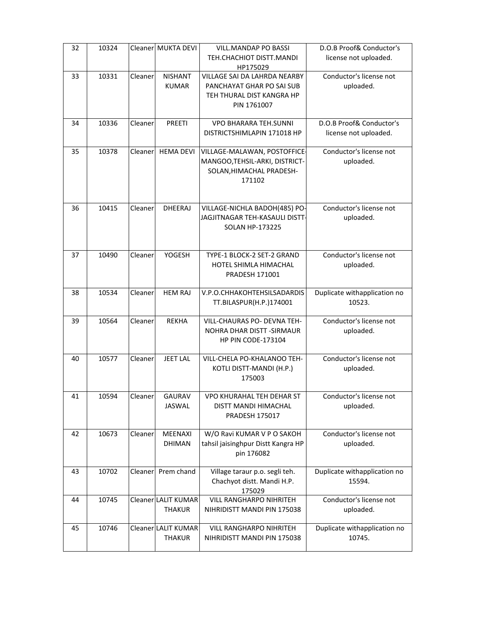| 32 | 10324 |         | Cleaner MUKTA DEVI  | VILL.MANDAP PO BASSI               | D.O.B Proof& Conductor's     |
|----|-------|---------|---------------------|------------------------------------|------------------------------|
|    |       |         |                     | TEH.CHACHIOT DISTT.MANDI           | license not uploaded.        |
|    |       |         |                     | HP175029                           |                              |
| 33 | 10331 | Cleaner | <b>NISHANT</b>      | VILLAGE SAI DA LAHRDA NEARBY       | Conductor's license not      |
|    |       |         | <b>KUMAR</b>        | PANCHAYAT GHAR PO SAI SUB          | uploaded.                    |
|    |       |         |                     | TEH THURAL DIST KANGRA HP          |                              |
|    |       |         |                     | PIN 1761007                        |                              |
|    |       |         |                     |                                    |                              |
| 34 | 10336 | Cleaner | PREETI              | <b>VPO BHARARA TEH.SUNNI</b>       | D.O.B Proof& Conductor's     |
|    |       |         |                     | DISTRICTSHIMLAPIN 171018 HP        | license not uploaded.        |
| 35 | 10378 | Cleaner | <b>HEMA DEVI</b>    | VILLAGE-MALAWAN, POSTOFFICE-       | Conductor's license not      |
|    |       |         |                     | MANGOO, TEHSIL-ARKI, DISTRICT-     | uploaded.                    |
|    |       |         |                     | SOLAN, HIMACHAL PRADESH-           |                              |
|    |       |         |                     | 171102                             |                              |
|    |       |         |                     |                                    |                              |
|    |       |         |                     |                                    |                              |
| 36 | 10415 | Cleaner | <b>DHEERAJ</b>      | VILLAGE-NICHLA BADOH(485) PO-      | Conductor's license not      |
|    |       |         |                     | JAGJITNAGAR TEH-KASAULI DISTT-     | uploaded.                    |
|    |       |         |                     | <b>SOLAN HP-173225</b>             |                              |
|    |       |         |                     |                                    |                              |
| 37 | 10490 | Cleaner | YOGESH              | TYPE-1 BLOCK-2 SET-2 GRAND         | Conductor's license not      |
|    |       |         |                     | HOTEL SHIMLA HIMACHAL              | uploaded.                    |
|    |       |         |                     | PRADESH 171001                     |                              |
|    |       |         |                     |                                    |                              |
| 38 | 10534 | Cleaner | <b>HEM RAJ</b>      | V.P.O.CHHAKOHTEHSILSADARDIS        | Duplicate withapplication no |
|    |       |         |                     | TT.BILASPUR(H.P.)174001            | 10523.                       |
|    |       |         |                     |                                    |                              |
| 39 | 10564 | Cleaner | <b>REKHA</b>        | <b>VILL-CHAURAS PO- DEVNA TEH-</b> | Conductor's license not      |
|    |       |         |                     | NOHRA DHAR DISTT - SIRMAUR         | uploaded.                    |
|    |       |         |                     | <b>HP PIN CODE-173104</b>          |                              |
| 40 | 10577 | Cleaner | <b>JEET LAL</b>     | VILL-CHELA PO-KHALANOO TEH-        | Conductor's license not      |
|    |       |         |                     | KOTLI DISTT-MANDI (H.P.)           | uploaded.                    |
|    |       |         |                     | 175003                             |                              |
|    |       |         |                     |                                    |                              |
| 41 | 10594 | Cleaner | <b>GAURAV</b>       | <b>VPO KHURAHAL TEH DEHAR ST</b>   | Conductor's license not      |
|    |       |         | JASWAL              | DISTT MANDI HIMACHAL               | uploaded.                    |
|    |       |         |                     | <b>PRADESH 175017</b>              |                              |
|    |       |         |                     |                                    |                              |
| 42 | 10673 | Cleaner | <b>MEENAXI</b>      | W/O Ravi KUMAR V P O SAKOH         | Conductor's license not      |
|    |       |         | <b>DHIMAN</b>       | tahsil jaisinghpur Distt Kangra HP | uploaded.                    |
|    |       |         |                     | pin 176082                         |                              |
| 43 | 10702 | Cleaner | Prem chand          | Village taraur p.o. segli teh.     | Duplicate withapplication no |
|    |       |         |                     | Chachyot distt. Mandi H.P.         | 15594.                       |
|    |       |         |                     | 175029                             |                              |
| 44 | 10745 |         | Cleaner LALIT KUMAR | <b>VILL RANGHARPO NIHRITEH</b>     | Conductor's license not      |
|    |       |         | <b>THAKUR</b>       | NIHRIDISTT MANDI PIN 175038        | uploaded.                    |
|    |       |         |                     |                                    |                              |
| 45 | 10746 |         | Cleaner LALIT KUMAR | <b>VILL RANGHARPO NIHRITEH</b>     | Duplicate withapplication no |
|    |       |         | THAKUR              | NIHRIDISTT MANDI PIN 175038        | 10745.                       |
|    |       |         |                     |                                    |                              |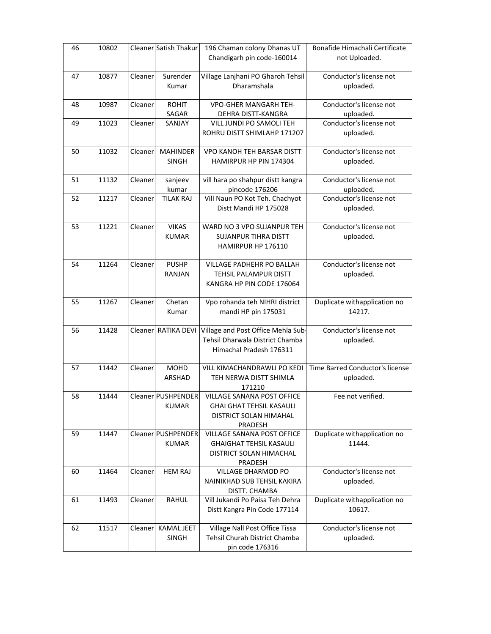| 46 | 10802 |          | Cleaner Satish Thakur | 196 Chaman colony Dhanas UT                             | Bonafide Himachali Certificate       |
|----|-------|----------|-----------------------|---------------------------------------------------------|--------------------------------------|
|    |       |          |                       | Chandigarh pin code-160014                              | not Uploaded.                        |
| 47 | 10877 | Cleaner  | Surender              | Village Lanjhani PO Gharoh Tehsil                       | Conductor's license not              |
|    |       |          | Kumar                 | Dharamshala                                             | uploaded.                            |
| 48 | 10987 | Cleaner  | <b>ROHIT</b>          | <b>VPO-GHER MANGARH TEH-</b>                            | Conductor's license not              |
|    |       |          | SAGAR<br>SANJAY       | DEHRA DISTT-KANGRA                                      | uploaded.<br>Conductor's license not |
| 49 | 11023 | Cleaner  |                       | VILL JUNDI PO SAMOLI TEH<br>ROHRU DISTT SHIMLAHP 171207 | uploaded.                            |
|    |       |          |                       |                                                         |                                      |
| 50 | 11032 | Cleaner  | <b>MAHINDER</b>       | VPO KANOH TEH BARSAR DISTT                              | Conductor's license not              |
|    |       |          | <b>SINGH</b>          | HAMIRPUR HP PIN 174304                                  | uploaded.                            |
| 51 | 11132 | Cleaner  | sanjeev               | vill hara po shahpur distt kangra                       | Conductor's license not              |
|    |       |          | kumar                 | pincode 176206                                          | uploaded.                            |
| 52 | 11217 | Cleaner  | TILAK RAJ             | Vill Naun PO Kot Teh. Chachyot<br>Distt Mandi HP 175028 | Conductor's license not              |
|    |       |          |                       |                                                         | uploaded.                            |
| 53 | 11221 | Cleaner  | <b>VIKAS</b>          | WARD NO 3 VPO SUJANPUR TEH                              | Conductor's license not              |
|    |       |          | <b>KUMAR</b>          | <b>SUJANPUR TIHRA DISTT</b>                             | uploaded.                            |
|    |       |          |                       | HAMIRPUR HP 176110                                      |                                      |
| 54 | 11264 | Cleaner  | <b>PUSHP</b>          | VILLAGE PADHEHR PO BALLAH                               | Conductor's license not              |
|    |       |          | RANJAN                | <b>TEHSIL PALAMPUR DISTT</b>                            | uploaded.                            |
|    |       |          |                       | KANGRA HP PIN CODE 176064                               |                                      |
| 55 | 11267 | Cleaner  | Chetan                | Vpo rohanda teh NIHRI district                          | Duplicate withapplication no         |
|    |       |          | Kumar                 | mandi HP pin 175031                                     | 14217.                               |
| 56 | 11428 |          | Cleaner RATIKA DEVI   | Village and Post Office Mehla Sub-                      | Conductor's license not              |
|    |       |          |                       | Tehsil Dharwala District Chamba                         | uploaded.                            |
|    |       |          |                       | Himachal Pradesh 176311                                 |                                      |
| 57 | 11442 | Cleaner  | <b>MOHD</b>           | VILL KIMACHANDRAWLI PO KEDI                             | Time Barred Conductor's license      |
|    |       |          | ARSHAD                | TEH NERWA DISTT SHIMLA                                  | uploaded.                            |
|    |       |          |                       | 171210                                                  |                                      |
| 58 | 11444 |          | Cleaner PUSHPENDER    | VILLAGE SANANA POST OFFICE                              | Fee not verified.                    |
|    |       |          | <b>KUMAR</b>          | <b>GHAI GHAT TEHSIL KASAULI</b>                         |                                      |
|    |       |          |                       |                                                         |                                      |
| 59 |       |          |                       | DISTRICT SOLAN HIMAHAL<br>PRADESH                       |                                      |
|    | 11447 |          | Cleaner PUSHPENDER    | VILLAGE SANANA POST OFFICE                              | Duplicate withapplication no         |
|    |       |          | <b>KUMAR</b>          | <b>GHAIGHAT TEHSIL KASAULI</b>                          | 11444.                               |
|    |       |          |                       | <b>DISTRICT SOLAN HIMACHAL</b>                          |                                      |
| 60 | 11464 | Cleaner  | <b>HEM RAJ</b>        | PRADESH                                                 | Conductor's license not              |
|    |       |          |                       | VILLAGE DHARMOD PO<br>NAINIKHAD SUB TEHSIL KAKIRA       | uploaded.                            |
|    |       |          |                       | DISTT. CHAMBA                                           |                                      |
| 61 | 11493 | Cleaner  | <b>RAHUL</b>          | Vill Jukandi Po Paisa Teh Dehra                         | Duplicate withapplication no         |
|    |       |          |                       | Distt Kangra Pin Code 177114                            | 10617.                               |
| 62 | 11517 | Cleanerl | <b>KAMAL JEET</b>     | Village Nall Post Office Tissa                          | Conductor's license not              |
|    |       |          | <b>SINGH</b>          | <b>Tehsil Churah District Chamba</b><br>pin code 176316 | uploaded.                            |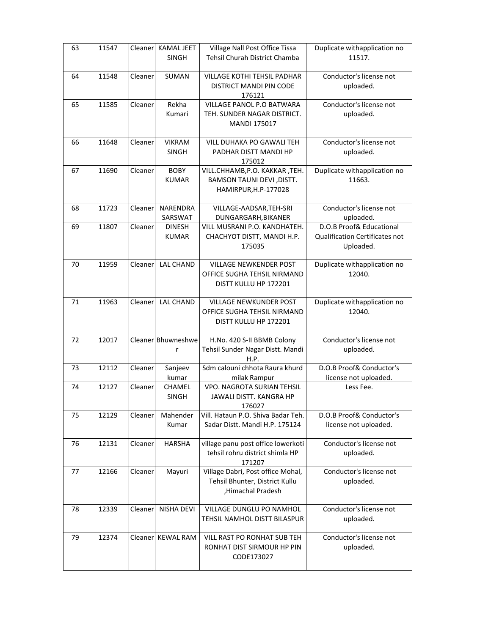| 63 | 11547 | Cleaner  | <b>KAMAL JEET</b><br><b>SINGH</b> | Village Nall Post Office Tissa<br>Tehsil Churah District Chamba                          | Duplicate withapplication no<br>11517.                                  |
|----|-------|----------|-----------------------------------|------------------------------------------------------------------------------------------|-------------------------------------------------------------------------|
| 64 | 11548 | Cleaner  | SUMAN                             | <b>VILLAGE KOTHI TEHSIL PADHAR</b><br>DISTRICT MANDI PIN CODE<br>176121                  | Conductor's license not<br>uploaded.                                    |
| 65 | 11585 | Cleaner  | Rekha<br>Kumari                   | <b>VILLAGE PANOL P.O BATWARA</b><br>TEH. SUNDER NAGAR DISTRICT.<br><b>MANDI 175017</b>   | Conductor's license not<br>uploaded.                                    |
| 66 | 11648 | Cleaner  | <b>VIKRAM</b><br><b>SINGH</b>     | <b>VILL DUHAKA PO GAWALI TEH</b><br>PADHAR DISTT MANDI HP<br>175012                      | Conductor's license not<br>uploaded.                                    |
| 67 | 11690 | Cleaner  | <b>BOBY</b><br><b>KUMAR</b>       | VILL.CHHAMB, P.O. KAKKAR, TEH.<br>BAMSON TAUNI DEVI, DISTT.<br>HAMIRPUR, H.P-177028      | Duplicate withapplication no<br>11663.                                  |
| 68 | 11723 | Cleaner  | NARENDRA<br>SARSWAT               | VILLAGE-AADSAR, TEH-SRI<br>DUNGARGARH, BIKANER                                           | Conductor's license not<br>uploaded.                                    |
| 69 | 11807 | Cleaner  | <b>DINESH</b><br><b>KUMAR</b>     | VILL MUSRANI P.O. KANDHATEH.<br>CHACHYOT DISTT, MANDI H.P.<br>175035                     | D.O.B Proof& Educational<br>Qualification Certificates not<br>Uploaded. |
| 70 | 11959 | Cleaner  | <b>LAL CHAND</b>                  | <b>VILLAGE NEWKENDER POST</b><br>OFFICE SUGHA TEHSIL NIRMAND<br>DISTT KULLU HP 172201    | Duplicate withapplication no<br>12040.                                  |
| 71 | 11963 | Cleaner  | <b>LAL CHAND</b>                  | VILLAGE NEWKUNDER POST<br>OFFICE SUGHA TEHSIL NIRMAND<br>DISTT KULLU HP 172201           | Duplicate withapplication no<br>12040.                                  |
| 72 | 12017 |          | Cleaner Bhuwneshwe<br>r           | H.No. 420 S-II BBMB Colony<br>Tehsil Sunder Nagar Distt. Mandi<br>H.P.                   | Conductor's license not<br>uploaded.                                    |
| 73 | 12112 | Cleaner  | Sanjeev<br>kumar                  | Sdm calouni chhota Raura khurd<br>milak Rampur                                           | D.O.B Proof& Conductor's<br>license not uploaded.                       |
| 74 | 12127 | Cleaner  | CHAMEL<br><b>SINGH</b>            | VPO. NAGROTA SURIAN TEHSIL<br>JAWALI DISTT. KANGRA HP<br>176027                          | Less Fee.                                                               |
| 75 | 12129 | Cleaner  | Mahender<br>Kumar                 | Vill. Hataun P.O. Shiva Badar Teh.<br>Sadar Distt. Mandi H.P. 175124                     | D.O.B Proof& Conductor's<br>license not uploaded.                       |
| 76 | 12131 | Cleaner  | <b>HARSHA</b>                     | village panu post office lowerkoti<br>tehsil rohru district shimla HP<br>171207          | Conductor's license not<br>uploaded.                                    |
| 77 | 12166 | Cleanerl | Mayuri                            | Village Dabri, Post office Mohal,<br>Tehsil Bhunter, District Kullu<br>,Himachal Pradesh | Conductor's license not<br>uploaded.                                    |
| 78 | 12339 | Cleaner  | <b>NISHA DEVI</b>                 | VILLAGE DUNGLU PO NAMHOL<br>TEHSIL NAMHOL DISTT BILASPUR                                 | Conductor's license not<br>uploaded.                                    |
| 79 | 12374 |          | Cleaner  KEWAL RAM                | VILL RAST PO RONHAT SUB TEH<br>RONHAT DIST SIRMOUR HP PIN<br>CODE173027                  | Conductor's license not<br>uploaded.                                    |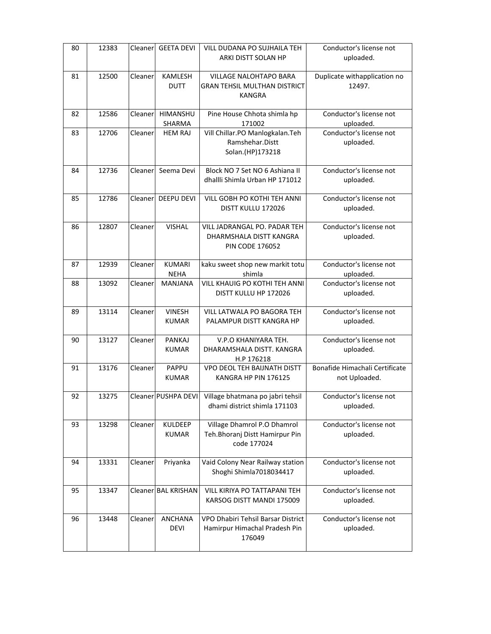| 80 | 12383 | Cleaner  | <b>GEETA DEVI</b>              | VILL DUDANA PO SUJHAILA TEH<br>ARKI DISTT SOLAN HP                                   | Conductor's license not<br>uploaded.            |
|----|-------|----------|--------------------------------|--------------------------------------------------------------------------------------|-------------------------------------------------|
| 81 | 12500 | Cleaner  | KAMLESH<br><b>DUTT</b>         | VILLAGE NALOHTAPO BARA<br>GRAN TEHSIL MULTHAN DISTRICT<br>KANGRA                     | Duplicate withapplication no<br>12497.          |
| 82 | 12586 | Cleanerl | HIMANSHU<br>SHARMA             | Pine House Chhota shimla hp<br>171002                                                | Conductor's license not<br>uploaded.            |
| 83 | 12706 | Cleaner  | <b>HEM RAJ</b>                 | Vill Chillar.PO Manlogkalan.Teh<br>Ramshehar.Distt<br>Solan.(HP)173218               | Conductor's license not<br>uploaded.            |
| 84 | 12736 | Cleaner  | Seema Devi                     | Block NO 7 Set NO 6 Ashiana II<br>dhallli Shimla Urban HP 171012                     | Conductor's license not<br>uploaded.            |
| 85 | 12786 | Cleaner  | <b>DEEPU DEVI</b>              | VILL GOBH PO KOTHI TEH ANNI<br>DISTT KULLU 172026                                    | Conductor's license not<br>uploaded.            |
| 86 | 12807 | Cleaner  | <b>VISHAL</b>                  | VILL JADRANGAL PO. PADAR TEH<br>DHARMSHALA DISTT KANGRA<br><b>PIN CODE 176052</b>    | Conductor's license not<br>uploaded.            |
| 87 | 12939 | Cleaner  | <b>KUMARI</b><br><b>NEHA</b>   | kaku sweet shop new markit totu<br>shimla                                            | Conductor's license not<br>uploaded.            |
| 88 | 13092 | Cleaner  | <b>MANJANA</b>                 | VILL KHAUIG PO KOTHI TEH ANNI<br>DISTT KULLU HP 172026                               | Conductor's license not<br>uploaded.            |
| 89 | 13114 | Cleaner  | <b>VINESH</b><br><b>KUMAR</b>  | VILL LATWALA PO BAGORA TEH<br>PALAMPUR DISTT KANGRA HP                               | Conductor's license not<br>uploaded.            |
| 90 | 13127 | Cleaner  | <b>PANKAJ</b><br><b>KUMAR</b>  | V.P.O KHANIYARA TEH.<br>DHARAMSHALA DISTT. KANGRA<br>H.P 176218                      | Conductor's license not<br>uploaded.            |
| 91 | 13176 | Cleaner  | PAPPU<br><b>KUMAR</b>          | VPO DEOL TEH BAIJNATH DISTT<br>KANGRA HP PIN 176125                                  | Bonafide Himachali Certificate<br>not Uploaded. |
| 92 | 13275 |          |                                | Cleaner PUSHPA DEVI Village bhatmana po jabri tehsil<br>dhami district shimla 171103 | Conductor's license not<br>uploaded.            |
| 93 | 13298 | Cleaner  | <b>KULDEEP</b><br><b>KUMAR</b> | Village Dhamrol P.O Dhamrol<br>Teh.Bhoranj Distt Hamirpur Pin<br>code 177024         | Conductor's license not<br>uploaded.            |
| 94 | 13331 | Cleaner  | Priyanka                       | Vaid Colony Near Railway station<br>Shoghi Shimla7018034417                          | Conductor's license not<br>uploaded.            |
| 95 | 13347 |          | Cleaner BAL KRISHAN            | VILL KIRIYA PO TATTAPANI TEH<br>KARSOG DISTT MANDI 175009                            | Conductor's license not<br>uploaded.            |
| 96 | 13448 | Cleaner  | <b>ANCHANA</b><br><b>DEVI</b>  | VPO Dhabiri Tehsil Barsar District<br>Hamirpur Himachal Pradesh Pin<br>176049        | Conductor's license not<br>uploaded.            |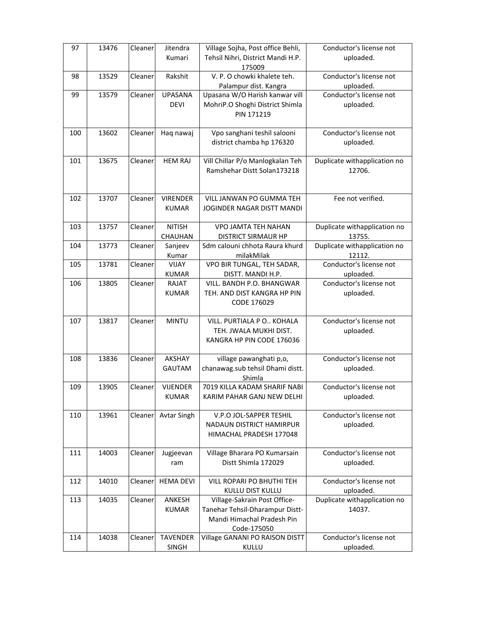| 97  | 13476 | Cleaner | Jitendra                        | Village Sojha, Post office Behli,                                                                            | Conductor's license not                |
|-----|-------|---------|---------------------------------|--------------------------------------------------------------------------------------------------------------|----------------------------------------|
|     |       |         | Kumari                          | Tehsil Nihri, District Mandi H.P.<br>175009                                                                  | uploaded.                              |
| 98  | 13529 | Cleaner | Rakshit                         | V. P. O chowki khalete teh.                                                                                  | Conductor's license not                |
| 99  |       |         | <b>UPASANA</b>                  | Palampur dist. Kangra                                                                                        | uploaded.<br>Conductor's license not   |
|     | 13579 | Cleaner | <b>DEVI</b>                     | Upasana W/O Harish kanwar vill<br>MohriP.O Shoghi District Shimla<br>PIN 171219                              | uploaded.                              |
| 100 | 13602 | Cleaner | Haq nawaj                       | Vpo sanghani teshil salooni<br>district chamba hp 176320                                                     | Conductor's license not<br>uploaded.   |
| 101 | 13675 | Cleaner | <b>HEM RAJ</b>                  | Vill Chillar P/o Manlogkalan Teh<br>Ramshehar Distt Solan173218                                              | Duplicate withapplication no<br>12706. |
| 102 | 13707 | Cleaner | <b>VIRENDER</b><br><b>KUMAR</b> | VILL JANWAN PO GUMMA TEH<br>JOGINDER NAGAR DISTT MANDI                                                       | Fee not verified.                      |
| 103 | 13757 | Cleaner | <b>NITISH</b><br>CHAUHAN        | VPO JAMTA TEH NAHAN<br><b>DISTRICT SIRMAUR HP</b>                                                            | Duplicate withapplication no<br>13755. |
| 104 | 13773 | Cleaner | Sanjeev<br>Kumar                | Sdm calouni chhota Raura khurd<br>milakMilak                                                                 | Duplicate withapplication no<br>12112. |
| 105 | 13781 | Cleaner | VIJAY<br><b>KUMAR</b>           | VPO BIR TUNGAL, TEH SADAR,<br>DISTT. MANDI H.P.                                                              | Conductor's license not<br>uploaded.   |
| 106 | 13805 | Cleaner | RAJAT<br><b>KUMAR</b>           | VILL. BANDH P.O. BHANGWAR<br>TEH. AND DIST KANGRA HP PIN<br>CODE 176029                                      | Conductor's license not<br>uploaded.   |
| 107 | 13817 | Cleaner | <b>MINTU</b>                    | VILL. PURTIALA P O KOHALA<br>TEH. JWALA MUKHI DIST.<br>KANGRA HP PIN CODE 176036                             | Conductor's license not<br>uploaded.   |
| 108 | 13836 | Cleaner | AKSHAY<br>GAUTAM                | village pawanghati p,o,<br>chanawag.sub tehsil Dhami distt.<br>Shimla                                        | Conductor's license not<br>uploaded.   |
| 109 | 13905 | Cleaner | <b>VIJENDER</b><br><b>KUMAR</b> | 7019 KILLA KADAM SHARIF NABI<br>KARIM PAHAR GANJ NEW DELHI                                                   | Conductor's license not<br>uploaded.   |
| 110 | 13961 | Cleaner | <b>Avtar Singh</b>              | V.P.O JOL-SAPPER TESHIL<br>NADAUN DISTRICT HAMIRPUR<br>HIMACHAL PRADESH 177048                               | Conductor's license not<br>uploaded.   |
| 111 | 14003 | Cleaner | Jugjeevan<br>ram                | Village Bharara PO Kumarsain<br>Distt Shimla 172029                                                          | Conductor's license not<br>uploaded.   |
| 112 | 14010 | Cleaner | <b>HEMA DEVI</b>                | VILL ROPARI PO BHUTHI TEH<br>KULLU DIST KULLU                                                                | Conductor's license not<br>uploaded.   |
| 113 | 14035 | Cleaner | ANKESH<br><b>KUMAR</b>          | Village-Sakrain Post Office-<br>Tanehar Tehsil-Dharampur Distt-<br>Mandi Himachal Pradesh Pin<br>Code-175050 | Duplicate withapplication no<br>14037. |
| 114 | 14038 | Cleaner | <b>TAVENDER</b>                 | Village GANANI PO RAISON DISTT                                                                               | Conductor's license not                |
|     |       |         | <b>SINGH</b>                    | KULLU                                                                                                        | uploaded.                              |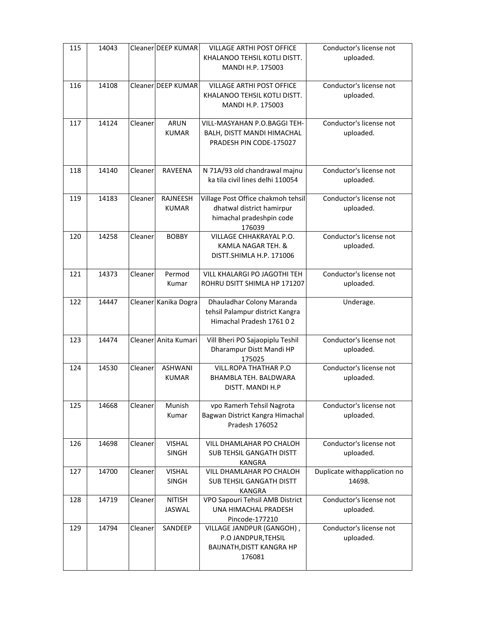| 115 | 14043 |         | Cleaner DEEP KUMAR             | <b>VILLAGE ARTHI POST OFFICE</b><br>KHALANOO TEHSIL KOTLI DISTT.<br>MANDI H.P. 175003                 | Conductor's license not<br>uploaded.   |
|-----|-------|---------|--------------------------------|-------------------------------------------------------------------------------------------------------|----------------------------------------|
| 116 | 14108 |         | Cleaner DEEP KUMAR             | <b>VILLAGE ARTHI POST OFFICE</b><br>KHALANOO TEHSIL KOTLI DISTT.<br>MANDI H.P. 175003                 | Conductor's license not<br>uploaded.   |
| 117 | 14124 | Cleaner | ARUN<br><b>KUMAR</b>           | VILL-MASYAHAN P.O.BAGGI TEH-<br>BALH, DISTT MANDI HIMACHAL<br>PRADESH PIN CODE-175027                 | Conductor's license not<br>uploaded.   |
| 118 | 14140 | Cleaner | <b>RAVEENA</b>                 | N 71A/93 old chandrawal majnu<br>ka tila civil lines delhi 110054                                     | Conductor's license not<br>uploaded.   |
| 119 | 14183 | Cleaner | RAJNEESH<br><b>KUMAR</b>       | Village Post Office chakmoh tehsil<br>dhatwal district hamirpur<br>himachal pradeshpin code<br>176039 | Conductor's license not<br>uploaded.   |
| 120 | 14258 | Cleaner | <b>BOBBY</b>                   | VILLAGE CHHAKRAYAL P.O.<br>KAMLA NAGAR TEH. &<br>DISTT. SHIMLA H.P. 171006                            | Conductor's license not<br>uploaded.   |
| 121 | 14373 | Cleaner | Permod<br>Kumar                | VILL KHALARGI PO JAGOTHI TEH<br>ROHRU DSITT SHIMLA HP 171207                                          | Conductor's license not<br>uploaded.   |
| 122 | 14447 |         | Cleaner Kanika Dogra           | Dhauladhar Colony Maranda<br>tehsil Palampur district Kangra<br>Himachal Pradesh 1761 02              | Underage.                              |
| 123 | 14474 |         | Cleaner Anita Kumari           | Vill Bheri PO Sajaopiplu Teshil<br>Dharampur Distt Mandi HP<br>175025                                 | Conductor's license not<br>uploaded.   |
| 124 | 14530 | Cleaner | <b>ASHWANI</b><br><b>KUMAR</b> | <b>VILL.ROPA THATHAR P.O</b><br>BHAMBLA TEH. BALDWARA<br>DISTT. MANDI H.P                             | Conductor's license not<br>uploaded.   |
| 125 | 14668 | Cleaner | Munish<br>Kumar                | vpo Ramerh Tehsil Nagrota<br>Bagwan District Kangra Himachal<br>Pradesh 176052                        | Conductor's license not<br>uploaded.   |
| 126 | 14698 | Cleaner | <b>VISHAL</b><br>SINGH         | VILL DHAMLAHAR PO CHALOH<br>SUB TEHSIL GANGATH DISTT<br>KANGRA                                        | Conductor's license not<br>uploaded.   |
| 127 | 14700 | Cleaner | <b>VISHAL</b><br>SINGH         | VILL DHAMLAHAR PO CHALOH<br>SUB TEHSIL GANGATH DISTT<br><b>KANGRA</b>                                 | Duplicate withapplication no<br>14698. |
| 128 | 14719 | Cleaner | <b>NITISH</b><br>JASWAL        | VPO Sapouri Tehsil AMB District<br>UNA HIMACHAL PRADESH<br>Pincode-177210                             | Conductor's license not<br>uploaded.   |
| 129 | 14794 | Cleaner | SANDEEP                        | VILLAGE JANDPUR (GANGOH),<br>P.O JANDPUR, TEHSIL<br>BAIJNATH, DISTT KANGRA HP<br>176081               | Conductor's license not<br>uploaded.   |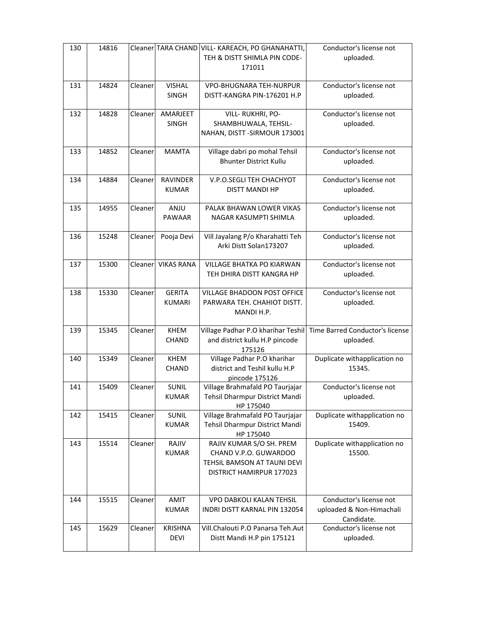| 130 | 14816 |          |                                 | Cleaner TARA CHAND VILL- KAREACH, PO GHANAHATTI,<br>TEH & DISTT SHIMLA PIN CODE-<br>171011                   | Conductor's license not<br>uploaded.                              |
|-----|-------|----------|---------------------------------|--------------------------------------------------------------------------------------------------------------|-------------------------------------------------------------------|
| 131 | 14824 | Cleaner  | <b>VISHAL</b><br><b>SINGH</b>   | VPO-BHUGNARA TEH-NURPUR<br>DISTT-KANGRA PIN-176201 H.P                                                       | Conductor's license not<br>uploaded.                              |
| 132 | 14828 | Cleaner  | AMARJEET<br><b>SINGH</b>        | VILL-RUKHRI, PO-<br>SHAMBHUWALA, TEHSIL-<br>NAHAN, DISTT - SIRMOUR 173001                                    | Conductor's license not<br>uploaded.                              |
| 133 | 14852 | Cleaner  | <b>MAMTA</b>                    | Village dabri po mohal Tehsil<br><b>Bhunter District Kullu</b>                                               | Conductor's license not<br>uploaded.                              |
| 134 | 14884 | Cleaner  | <b>RAVINDER</b><br><b>KUMAR</b> | V.P.O.SEGLI TEH CHACHYOT<br><b>DISTT MANDI HP</b>                                                            | Conductor's license not<br>uploaded.                              |
| 135 | 14955 | Cleaner  | ANJU<br><b>PAWAAR</b>           | PALAK BHAWAN LOWER VIKAS<br>NAGAR KASUMPTI SHIMLA                                                            | Conductor's license not<br>uploaded.                              |
| 136 | 15248 | Cleaner  | Pooja Devi                      | Vill Jayalang P/o Kharahatti Teh<br>Arki Distt Solan173207                                                   | Conductor's license not<br>uploaded.                              |
| 137 | 15300 | Cleanerl | <b>VIKAS RANA</b>               | <b>VILLAGE BHATKA PO KIARWAN</b><br>TEH DHIRA DISTT KANGRA HP                                                | Conductor's license not<br>uploaded.                              |
| 138 | 15330 | Cleaner  | <b>GERITA</b><br><b>KUMARI</b>  | VILLAGE BHADOON POST OFFICE<br>PARWARA TEH. CHAHIOT DISTT.<br>MANDI H.P.                                     | Conductor's license not<br>uploaded.                              |
| 139 | 15345 | Cleaner  | <b>KHEM</b><br><b>CHAND</b>     | Village Padhar P.O kharihar Teshil<br>and district kullu H.P pincode<br>175126                               | Time Barred Conductor's license<br>uploaded.                      |
| 140 | 15349 | Cleaner  | <b>KHEM</b><br><b>CHAND</b>     | Village Padhar P.O kharihar<br>district and Teshil kullu H.P<br>pincode 175126                               | Duplicate withapplication no<br>15345.                            |
| 141 | 15409 | Cleaner  | <b>SUNIL</b><br><b>KUMAR</b>    | Village Brahmafald PO Taurjajar<br>Tehsil Dharmpur District Mandi<br>HP 175040                               | Conductor's license not<br>uploaded.                              |
| 142 | 15415 | Cleaner  | SUNIL<br><b>KUMAR</b>           | Village Brahmafald PO Taurjajar<br>Tehsil Dharmpur District Mandi<br>HP 175040                               | Duplicate withapplication no<br>15409.                            |
| 143 | 15514 | Cleaner  | RAJIV<br><b>KUMAR</b>           | RAJIV KUMAR S/O SH. PREM<br>CHAND V.P.O. GUWARDOO<br>TEHSIL BAMSON AT TAUNI DEVI<br>DISTRICT HAMIRPUR 177023 | Duplicate withapplication no<br>15500.                            |
| 144 | 15515 | Cleaner  | AMIT<br><b>KUMAR</b>            | VPO DABKOLI KALAN TEHSIL<br>INDRI DISTT KARNAL PIN 132054                                                    | Conductor's license not<br>uploaded & Non-Himachali<br>Candidate. |
| 145 | 15629 | Cleaner  | <b>KRISHNA</b><br><b>DEVI</b>   | Vill.Chalouti P.O Panarsa Teh.Aut<br>Distt Mandi H.P pin 175121                                              | Conductor's license not<br>uploaded.                              |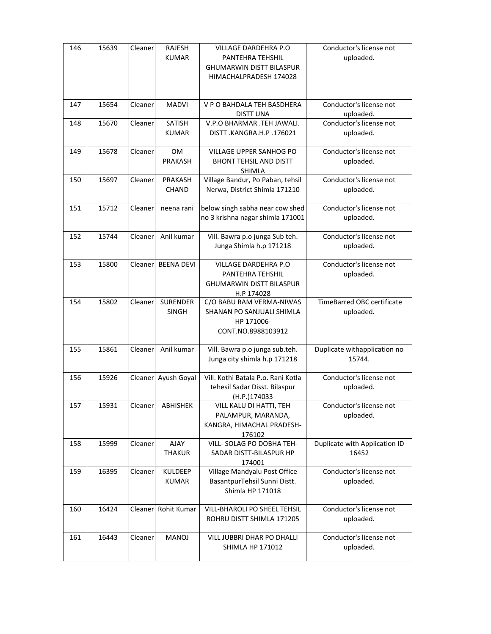| 146 | 15639 | Cleaner | <b>RAJESH</b><br><b>KUMAR</b>   | VILLAGE DARDEHRA P.O<br>PANTEHRA TEHSHIL<br><b>GHUMARWIN DISTT BILASPUR</b><br>HIMACHALPRADESH 174028 | Conductor's license not<br>uploaded.           |
|-----|-------|---------|---------------------------------|-------------------------------------------------------------------------------------------------------|------------------------------------------------|
| 147 | 15654 | Cleaner | <b>MADVI</b>                    | V P O BAHDALA TEH BASDHERA                                                                            | Conductor's license not                        |
|     |       |         |                                 | <b>DISTT UNA</b>                                                                                      | uploaded.                                      |
| 148 | 15670 | Cleaner | <b>SATISH</b><br><b>KUMAR</b>   | V.P.O BHARMAR .TEH JAWALI.<br>DISTT.KANGRA.H.P.176021                                                 | Conductor's license not<br>uploaded.           |
| 149 | 15678 | Cleaner | <b>OM</b><br>PRAKASH            | VILLAGE UPPER SANHOG PO<br><b>BHONT TEHSIL AND DISTT</b><br><b>SHIMLA</b>                             | Conductor's license not<br>uploaded.           |
| 150 | 15697 | Cleaner | PRAKASH<br><b>CHAND</b>         | Village Bandur, Po Paban, tehsil<br>Nerwa, District Shimla 171210                                     | Conductor's license not<br>uploaded.           |
| 151 | 15712 | Cleaner | neena rani                      | below singh sabha near cow shed<br>no 3 krishna nagar shimla 171001                                   | Conductor's license not<br>uploaded.           |
| 152 | 15744 | Cleaner | Anil kumar                      | Vill. Bawra p.o junga Sub teh.<br>Junga Shimla h.p 171218                                             | Conductor's license not<br>uploaded.           |
| 153 | 15800 | Cleaner | <b>BEENA DEVI</b>               | VILLAGE DARDEHRA P.O<br>PANTEHRA TEHSHIL<br><b>GHUMARWIN DISTT BILASPUR</b><br>H.P 174028             | Conductor's license not<br>uploaded.           |
| 154 | 15802 | Cleaner | <b>SURENDER</b><br><b>SINGH</b> | C/O BABU RAM VERMA-NIWAS<br>SHANAN PO SANJUALI SHIMLA<br>HP 171006-<br>CONT.NO.8988103912             | <b>TimeBarred OBC certificate</b><br>uploaded. |
| 155 | 15861 | Cleaner | Anil kumar                      | Vill. Bawra p.o junga sub.teh.<br>Junga city shimla h.p 171218                                        | Duplicate withapplication no<br>15744.         |
| 156 | 15926 | Cleaner | Ayush Goyal                     | Vill. Kothi Batala P.o. Rani Kotla<br>tehesil Sadar Disst. Bilaspur<br>(H.P.)174033                   | Conductor's license not<br>uploaded.           |
| 157 | 15931 | Cleaner | ABHISHEK                        | VILL KALU DI HATTI, TEH<br>PALAMPUR, MARANDA,<br>KANGRA, HIMACHAL PRADESH-<br>176102                  | Conductor's license not<br>uploaded.           |
| 158 | 15999 | Cleaner | AJAY<br><b>THAKUR</b>           | VILL- SOLAG PO DOBHA TEH-<br>SADAR DISTT-BILASPUR HP<br>174001                                        | Duplicate with Application ID<br>16452         |
| 159 | 16395 | Cleaner | <b>KULDEEP</b><br><b>KUMAR</b>  | Village Mandyalu Post Office<br>BasantpurTehsil Sunni Distt.<br>Shimla HP 171018                      | Conductor's license not<br>uploaded.           |
| 160 | 16424 | Cleaner | Rohit Kumar                     | <b>VILL-BHAROLI PO SHEEL TEHSIL</b><br>ROHRU DISTT SHIMLA 171205                                      | Conductor's license not<br>uploaded.           |
| 161 | 16443 | Cleaner | <b>MANOJ</b>                    | VILL JUBBRI DHAR PO DHALLI<br><b>SHIMLA HP 171012</b>                                                 | Conductor's license not<br>uploaded.           |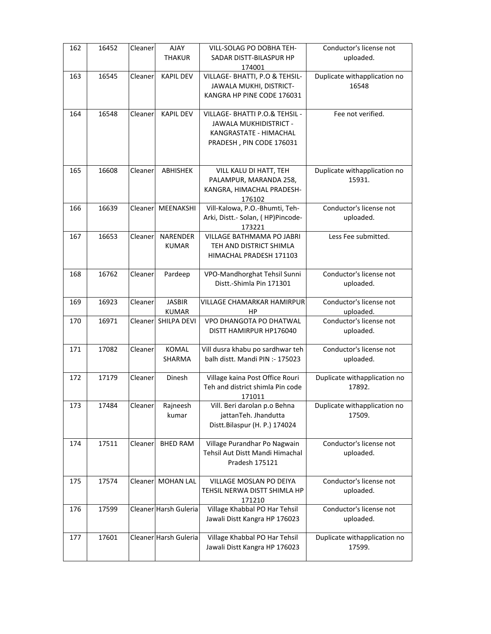| 162 | 16452 | Cleaner | AJAY                  | VILL-SOLAG PO DOBHA TEH-                           | Conductor's license not              |
|-----|-------|---------|-----------------------|----------------------------------------------------|--------------------------------------|
|     |       |         | <b>THAKUR</b>         | SADAR DISTT-BILASPUR HP<br>174001                  | uploaded.                            |
| 163 | 16545 | Cleaner | <b>KAPIL DEV</b>      | VILLAGE- BHATTI, P.O & TEHSIL-                     | Duplicate withapplication no         |
|     |       |         |                       | JAWALA MUKHI, DISTRICT-                            | 16548                                |
|     |       |         |                       | KANGRA HP PINE CODE 176031                         |                                      |
| 164 | 16548 | Cleaner | <b>KAPIL DEV</b>      | VILLAGE- BHATTI P.O.& TEHSIL -                     | Fee not verified.                    |
|     |       |         |                       | JAWALA MUKHIDISTRICT -                             |                                      |
|     |       |         |                       | KANGRASTATE - HIMACHAL<br>PRADESH, PIN CODE 176031 |                                      |
|     |       |         |                       |                                                    |                                      |
| 165 | 16608 | Cleaner | ABHISHEK              | VILL KALU DI HATT, TEH                             | Duplicate withapplication no         |
|     |       |         |                       | PALAMPUR, MARANDA 258,                             | 15931.                               |
|     |       |         |                       | KANGRA, HIMACHAL PRADESH-                          |                                      |
| 166 | 16639 | Cleaner | MEENAKSHI             | 176102<br>Vill-Kalowa, P.O.-Bhumti, Teh-           | Conductor's license not              |
|     |       |         |                       | Arki, Distt.- Solan, (HP)Pincode-                  | uploaded.                            |
|     |       |         |                       | 173221                                             |                                      |
| 167 | 16653 | Cleaner | <b>NARENDER</b>       | VILLAGE BATHMAMA PO JABRI                          | Less Fee submitted.                  |
|     |       |         | <b>KUMAR</b>          | TEH AND DISTRICT SHIMLA<br>HIMACHAL PRADESH 171103 |                                      |
|     |       |         |                       |                                                    |                                      |
| 168 | 16762 | Cleaner | Pardeep               | VPO-Mandhorghat Tehsil Sunni                       | Conductor's license not              |
|     |       |         |                       | Distt.-Shimla Pin 171301                           | uploaded.                            |
| 169 | 16923 | Cleaner | <b>JASBIR</b>         | VILLAGE CHAMARKAR HAMIRPUR                         | Conductor's license not              |
|     |       |         | <b>KUMAR</b>          | HP                                                 | uploaded.                            |
| 170 | 16971 | Cleaner | SHILPA DEVI           | VPO DHANGOTA PO DHATWAL<br>DISTT HAMIRPUR HP176040 | Conductor's license not<br>uploaded. |
|     |       |         |                       |                                                    |                                      |
| 171 | 17082 | Cleaner | KOMAL                 | Vill dusra khabu po sardhwar teh                   | Conductor's license not              |
|     |       |         | SHARMA                | balh distt. Mandi PIN :- 175023                    | uploaded.                            |
| 172 | 17179 | Cleaner | Dinesh                | Village kaina Post Office Rouri                    | Duplicate withapplication no         |
|     |       |         |                       | Teh and district shimla Pin code                   | 17892.                               |
| 173 | 17484 | Cleaner | Rajneesh              | 171011<br>Vill. Beri darolan p.o Behna             | Duplicate withapplication no         |
|     |       |         | kumar                 | jattanTeh. Jhandutta                               | 17509.                               |
|     |       |         |                       | Distt.Bilaspur (H. P.) 174024                      |                                      |
| 174 | 17511 | Cleaner | <b>BHED RAM</b>       | Village Purandhar Po Nagwain                       | Conductor's license not              |
|     |       |         |                       | Tehsil Aut Distt Mandi Himachal                    | uploaded.                            |
|     |       |         |                       | Pradesh 175121                                     |                                      |
| 175 | 17574 | Cleaner | <b>MOHAN LAL</b>      | VILLAGE MOSLAN PO DEIYA                            | Conductor's license not              |
|     |       |         |                       | TEHSIL NERWA DISTT SHIMLA HP                       | uploaded.                            |
| 176 | 17599 |         | Cleaner Harsh Guleria | 171210<br>Village Khabbal PO Har Tehsil            | Conductor's license not              |
|     |       |         |                       | Jawali Distt Kangra HP 176023                      | uploaded.                            |
|     |       |         |                       |                                                    |                                      |
| 177 | 17601 |         | Cleaner Harsh Guleria | Village Khabbal PO Har Tehsil                      | Duplicate withapplication no         |
|     |       |         |                       | Jawali Distt Kangra HP 176023                      | 17599.                               |
|     |       |         |                       |                                                    |                                      |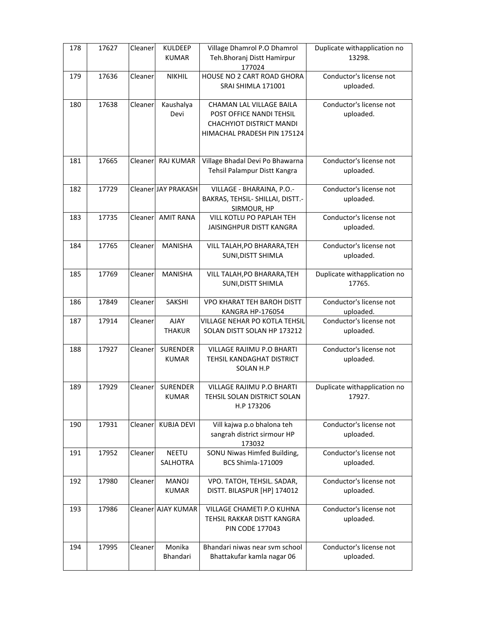| 178 | 17627 | Cleaner  | <b>KULDEEP</b><br><b>KUMAR</b>  | Village Dhamrol P.O Dhamrol<br>Teh.Bhoranj Distt Hamirpur<br>177024                                             | Duplicate withapplication no<br>13298. |
|-----|-------|----------|---------------------------------|-----------------------------------------------------------------------------------------------------------------|----------------------------------------|
| 179 | 17636 | Cleaner  | <b>NIKHIL</b>                   | HOUSE NO 2 CART ROAD GHORA<br>SRAI SHIMLA 171001                                                                | Conductor's license not<br>uploaded.   |
| 180 | 17638 | Cleaner  | Kaushalya<br>Devi               | CHAMAN LAL VILLAGE BAILA<br>POST OFFICE NANDI TEHSIL<br>CHACHYIOT DISTRICT MANDI<br>HIMACHAL PRADESH PIN 175124 | Conductor's license not<br>uploaded.   |
| 181 | 17665 | Cleaner  | <b>RAJ KUMAR</b>                | Village Bhadal Devi Po Bhawarna<br>Tehsil Palampur Distt Kangra                                                 | Conductor's license not<br>uploaded.   |
| 182 | 17729 |          | Cleaner JAY PRAKASH             | VILLAGE - BHARAINA, P.O.-<br>BAKRAS, TEHSIL- SHILLAI, DISTT.-<br>SIRMOUR, HP                                    | Conductor's license not<br>uploaded.   |
| 183 | 17735 | Cleaner  | <b>AMIT RANA</b>                | VILL KOTLU PO PAPLAH TEH<br>JAISINGHPUR DISTT KANGRA                                                            | Conductor's license not<br>uploaded.   |
| 184 | 17765 | Cleaner  | <b>MANISHA</b>                  | VILL TALAH, PO BHARARA, TEH<br>SUNI, DISTT SHIMLA                                                               | Conductor's license not<br>uploaded.   |
| 185 | 17769 | Cleaner  | <b>MANISHA</b>                  | VILL TALAH, PO BHARARA, TEH<br>SUNI, DISTT SHIMLA                                                               | Duplicate withapplication no<br>17765. |
| 186 | 17849 | Cleaner  | SAKSHI                          | <b>VPO KHARAT TEH BAROH DISTT</b><br>KANGRA HP-176054                                                           | Conductor's license not<br>uploaded.   |
| 187 | 17914 | Cleaner  | AJAY<br><b>THAKUR</b>           | VILLAGE NEHAR PO KOTLA TEHSIL<br>SOLAN DISTT SOLAN HP 173212                                                    | Conductor's license not<br>uploaded.   |
| 188 | 17927 | Cleaner  | <b>SURENDER</b><br><b>KUMAR</b> | VILLAGE RAJIMU P.O BHARTI<br>TEHSIL KANDAGHAT DISTRICT<br>SOLAN H.P                                             | Conductor's license not<br>uploaded.   |
| 189 | 17929 | Cleaner  | <b>SURENDER</b><br><b>KUMAR</b> | <b>VILLAGE RAJIMU P.O BHARTI</b><br>TEHSIL SOLAN DISTRICT SOLAN<br>H.P 173206                                   | Duplicate withapplication no<br>17927. |
| 190 | 17931 | Cleaner  | <b>KUBJA DEVI</b>               | Vill kajwa p.o bhalona teh<br>sangrah district sirmour HP<br>173032                                             | Conductor's license not<br>uploaded.   |
| 191 | 17952 | Cleanerl | <b>NEETU</b><br>SALHOTRA        | SONU Niwas Himfed Building,<br><b>BCS Shimla-171009</b>                                                         | Conductor's license not<br>uploaded.   |
| 192 | 17980 | Cleaner  | <b>MANOJ</b><br><b>KUMAR</b>    | VPO. TATOH, TEHSIL. SADAR,<br>DISTT. BILASPUR [HP] 174012                                                       | Conductor's license not<br>uploaded.   |
| 193 | 17986 |          | Cleaner AJAY KUMAR              | VILLAGE CHAMETI P.O KUHNA<br>TEHSIL RAKKAR DISTT KANGRA<br><b>PIN CODE 177043</b>                               | Conductor's license not<br>uploaded.   |
| 194 | 17995 | Cleaner  | Monika<br>Bhandari              | Bhandari niwas near sym school<br>Bhattakufar kamla nagar 06                                                    | Conductor's license not<br>uploaded.   |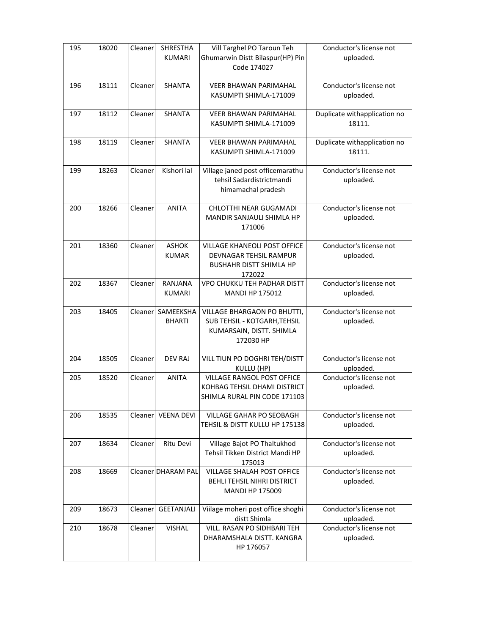| 195 | 18020 | Cleaner | <b>SHRESTHA</b><br><b>KUMARI</b> | Vill Targhel PO Taroun Teh<br>Ghumarwin Distt Bilaspur(HP) Pin<br>Code 174027                                    | Conductor's license not<br>uploaded.   |
|-----|-------|---------|----------------------------------|------------------------------------------------------------------------------------------------------------------|----------------------------------------|
| 196 | 18111 | Cleaner | <b>SHANTA</b>                    | <b>VEER BHAWAN PARIMAHAL</b><br>KASUMPTI SHIMLA-171009                                                           | Conductor's license not<br>uploaded.   |
| 197 | 18112 | Cleaner | <b>SHANTA</b>                    | <b>VEER BHAWAN PARIMAHAL</b><br>KASUMPTI SHIMLA-171009                                                           | Duplicate withapplication no<br>18111. |
| 198 | 18119 | Cleaner | SHANTA                           | <b>VEER BHAWAN PARIMAHAL</b><br>KASUMPTI SHIMLA-171009                                                           | Duplicate withapplication no<br>18111. |
| 199 | 18263 | Cleaner | Kishori lal                      | Village janed post officemarathu<br>tehsil Sadardistrictmandi<br>himamachal pradesh                              | Conductor's license not<br>uploaded.   |
| 200 | 18266 | Cleaner | <b>ANITA</b>                     | CHLOTTHI NEAR GUGAMADI<br>MANDIR SANJAULI SHIMLA HP<br>171006                                                    | Conductor's license not<br>uploaded.   |
| 201 | 18360 | Cleaner | <b>ASHOK</b><br><b>KUMAR</b>     | <b>VILLAGE KHANEOLI POST OFFICE</b><br><b>DEVNAGAR TEHSIL RAMPUR</b><br><b>BUSHAHR DISTT SHIMLA HP</b><br>172022 | Conductor's license not<br>uploaded.   |
| 202 | 18367 | Cleaner | RANJANA<br><b>KUMARI</b>         | VPO CHUKKU TEH PADHAR DISTT<br><b>MANDI HP 175012</b>                                                            | Conductor's license not<br>uploaded.   |
| 203 | 18405 | Cleaner | SAMEEKSHA<br><b>BHARTI</b>       | VILLAGE BHARGAON PO BHUTTI,<br>SUB TEHSIL - KOTGARH, TEHSIL<br>KUMARSAIN, DISTT. SHIMLA<br>172030 HP             | Conductor's license not<br>uploaded.   |
| 204 | 18505 | Cleaner | <b>DEV RAJ</b>                   | VILL TIUN PO DOGHRI TEH/DISTT<br>KULLU (HP)                                                                      | Conductor's license not<br>uploaded.   |
| 205 | 18520 | Cleaner | <b>ANITA</b>                     | VILLAGE RANGOL POST OFFICE<br>KOHBAG TEHSIL DHAMI DISTRICT<br>SHIMLA RURAL PIN CODE 171103                       | Conductor's license not<br>uploaded.   |
| 206 | 18535 | Cleaner | <b>VEENA DEVI</b>                | <b>VILLAGE GAHAR PO SEOBAGH</b><br>TEHSIL & DISTT KULLU HP 175138                                                | Conductor's license not<br>uploaded.   |
| 207 | 18634 | Cleaner | Ritu Devi                        | Village Bajot PO Thaltukhod<br>Tehsil Tikken District Mandi HP<br>175013                                         | Conductor's license not<br>uploaded.   |
| 208 | 18669 |         | Cleaner DHARAM PAL               | VILLAGE SHALAH POST OFFICE<br>BEHLI TEHSIL NIHRI DISTRICT<br><b>MANDI HP 175009</b>                              | Conductor's license not<br>uploaded.   |
| 209 | 18673 | Cleaner | GEETANJALI                       | Viilage moheri post office shoghi<br>distt Shimla                                                                | Conductor's license not<br>uploaded.   |
| 210 | 18678 | Cleaner | <b>VISHAL</b>                    | VILL. RASAN PO SIDHBARI TEH<br>DHARAMSHALA DISTT. KANGRA<br>HP 176057                                            | Conductor's license not<br>uploaded.   |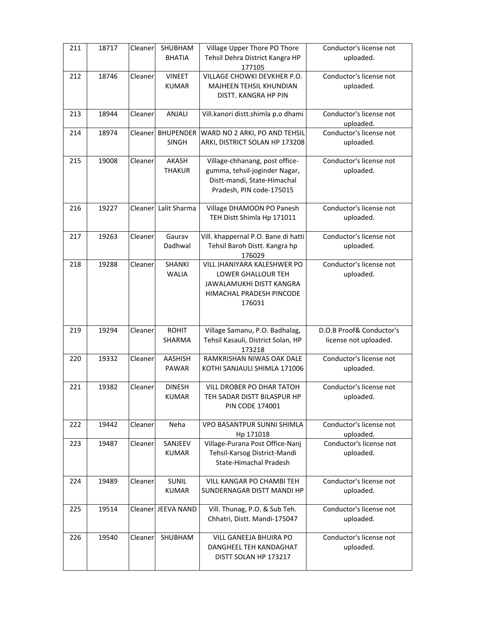| 211 | 18717 | Cleaner  | SHUBHAM<br><b>BHATIA</b>         | Village Upper Thore PO Thore<br>Tehsil Dehra District Kangra HP<br>177105                                                  | Conductor's license not<br>uploaded.              |
|-----|-------|----------|----------------------------------|----------------------------------------------------------------------------------------------------------------------------|---------------------------------------------------|
| 212 | 18746 | Cleaner  | <b>VINEET</b><br><b>KUMAR</b>    | VILLAGE CHOWKI DEVKHER P.O.<br>MAJHEEN TEHSIL KHUNDIAN<br>DISTT. KANGRA HP PIN                                             | Conductor's license not<br>uploaded.              |
| 213 | 18944 | Cleaner  | ANJALI                           | Vill.kanori distt.shimla p.o dhami                                                                                         | Conductor's license not<br>uploaded.              |
| 214 | 18974 | Cleanerl | <b>BHUPENDER</b><br><b>SINGH</b> | WARD NO 2 ARKI, PO AND TEHSIL<br>ARKI, DISTRICT SOLAN HP 173208                                                            | Conductor's license not<br>uploaded.              |
| 215 | 19008 | Cleaner  | AKASH<br><b>THAKUR</b>           | Village-chhanang, post office-<br>gumma, tehsil-joginder Nagar,<br>Distt-mandi, State-Himachal<br>Pradesh, PIN code-175015 | Conductor's license not<br>uploaded.              |
| 216 | 19227 | Cleaner  | Lalit Sharma                     | Village DHAMOON PO Panesh<br>TEH Distt Shimla Hp 171011                                                                    | Conductor's license not<br>uploaded.              |
| 217 | 19263 | Cleaner  | Gaurav<br>Dadhwal                | Vill. khappernal P.O. Bane di hatti<br>Tehsil Baroh Distt. Kangra hp<br>176029                                             | Conductor's license not<br>uploaded.              |
| 218 | 19288 | Cleaner  | SHANKI<br><b>WALIA</b>           | VILL JHANIYARA KALESHWER PO<br>LOWER GHALLOUR TEH<br>JAWALAMUKHI DISTT KANGRA<br>HIMACHAL PRADESH PINCODE<br>176031        | Conductor's license not<br>uploaded.              |
| 219 | 19294 | Cleaner  | <b>ROHIT</b><br>SHARMA           | Village Samanu, P.O. Badhalag,<br>Tehsil Kasauli, District Solan, HP<br>173218                                             | D.O.B Proof& Conductor's<br>license not uploaded. |
| 220 | 19332 | Cleaner  | <b>AASHISH</b><br><b>PAWAR</b>   | RAMKRISHAN NIWAS OAK DALE<br>KOTHI SANJAULI SHIMLA 171006                                                                  | Conductor's license not<br>uploaded.              |
| 221 | 19382 | Cleaner  | <b>DINESH</b><br><b>KUMAR</b>    | VILL DROBER PO DHAR TATOH<br>TEH SADAR DISTT BILASPUR HP<br><b>PIN CODE 174001</b>                                         | Conductor's license not<br>uploaded.              |
| 222 | 19442 | Cleaner  | Neha                             | VPO BASANTPUR SUNNI SHIMLA<br>Hp 171018                                                                                    | Conductor's license not<br>uploaded.              |
| 223 | 19487 | Cleaner  | SANJEEV<br><b>KUMAR</b>          | Village-Purana Post Office-Nanj<br>Tehsil-Karsog District-Mandi<br>State-Himachal Pradesh                                  | Conductor's license not<br>uploaded.              |
| 224 | 19489 | Cleaner  | <b>SUNIL</b><br><b>KUMAR</b>     | <b>VILL KANGAR PO CHAMBI TEH</b><br>SUNDERNAGAR DISTT MANDI HP                                                             | Conductor's license not<br>uploaded.              |
| 225 | 19514 |          | Cleaner JEEVA NAND               | Vill. Thunag, P.O. & Sub Teh.<br>Chhatri, Distt. Mandi-175047                                                              | Conductor's license not<br>uploaded.              |
| 226 | 19540 | Cleaner  | SHUBHAM                          | VILL GANEEJA BHUIRA PO<br>DANGHEEL TEH KANDAGHAT<br>DISTT SOLAN HP 173217                                                  | Conductor's license not<br>uploaded.              |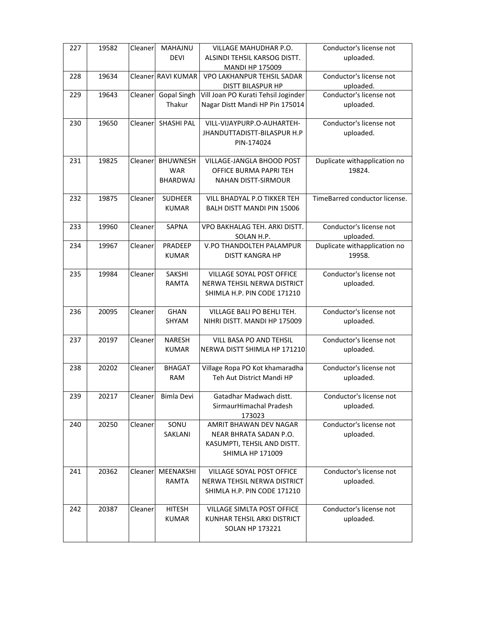| 227 | 19582 | Cleaner | <b>MAHAJNU</b>     | VILLAGE MAHUDHAR P.O.                                 | Conductor's license not       |
|-----|-------|---------|--------------------|-------------------------------------------------------|-------------------------------|
|     |       |         | <b>DEVI</b>        | ALSINDI TEHSIL KARSOG DISTT.                          | uploaded.                     |
|     |       |         |                    | <b>MANDI HP 175009</b>                                |                               |
| 228 | 19634 |         | Cleaner RAVI KUMAR | VPO LAKHANPUR TEHSIL SADAR                            | Conductor's license not       |
|     |       |         |                    | DISTT BILASPUR HP                                     | uploaded.                     |
|     |       |         |                    |                                                       |                               |
| 229 | 19643 | Cleaner | <b>Gopal Singh</b> | Vill Joan PO Kurati Tehsil Joginder                   | Conductor's license not       |
|     |       |         | Thakur             | Nagar Distt Mandi HP Pin 175014                       | uploaded.                     |
| 230 | 19650 | Cleaner | <b>SHASHI PAL</b>  | VILL-VIJAYPURP.O-AUHARTEH-                            | Conductor's license not       |
|     |       |         |                    | JHANDUTTADISTT-BILASPUR H.P                           | uploaded.                     |
|     |       |         |                    | PIN-174024                                            |                               |
|     |       |         |                    |                                                       |                               |
| 231 | 19825 | Cleaner | <b>BHUWNESH</b>    | VILLAGE-JANGLA BHOOD POST                             | Duplicate withapplication no  |
|     |       |         | <b>WAR</b>         | OFFICE BURMA PAPRI TEH                                | 19824.                        |
|     |       |         | BHARDWAJ           | <b>NAHAN DISTT-SIRMOUR</b>                            |                               |
|     |       |         |                    |                                                       |                               |
| 232 | 19875 | Cleaner | <b>SUDHEER</b>     | VILL BHADYAL P.O TIKKER TEH                           | TimeBarred conductor license. |
|     |       |         | <b>KUMAR</b>       | BALH DISTT MANDI PIN 15006                            |                               |
|     |       |         |                    |                                                       |                               |
| 233 | 19960 | Cleaner | <b>SAPNA</b>       | VPO BAKHALAG TEH. ARKI DISTT.                         | Conductor's license not       |
|     |       |         |                    | SOLAN H.P.                                            | uploaded.                     |
| 234 | 19967 | Cleaner | PRADEEP            | V.PO THANDOLTEH PALAMPUR                              | Duplicate withapplication no  |
|     |       |         | <b>KUMAR</b>       | <b>DISTT KANGRA HP</b>                                | 19958.                        |
|     |       |         |                    |                                                       |                               |
| 235 | 19984 | Cleaner | SAKSHI             | VILLAGE SOYAL POST OFFICE                             | Conductor's license not       |
|     |       |         | RAMTA              | NERWA TEHSIL NERWA DISTRICT                           | uploaded.                     |
|     |       |         |                    | SHIMLA H.P. PIN CODE 171210                           |                               |
|     |       |         |                    |                                                       |                               |
| 236 | 20095 | Cleaner | <b>GHAN</b>        | VILLAGE BALI PO BEHLI TEH.                            | Conductor's license not       |
|     |       |         | SHYAM              | NIHRI DISTT. MANDI HP 175009                          | uploaded.                     |
|     |       |         |                    |                                                       |                               |
| 237 | 20197 | Cleaner | <b>NARESH</b>      | VILL BASA PO AND TEHSIL                               | Conductor's license not       |
|     |       |         | <b>KUMAR</b>       | NERWA DISTT SHIMLA HP 171210                          | uploaded.                     |
|     |       |         |                    |                                                       |                               |
| 238 | 20202 | Cleaner | <b>BHAGAT</b>      | Village Ropa PO Kot khamaradha                        | Conductor's license not       |
|     |       |         | <b>RAM</b>         | Teh Aut District Mandi HP                             | uploaded.                     |
|     |       |         |                    |                                                       |                               |
| 239 | 20217 | Cleaner | Bimla Devi         | Gatadhar Madwach distt.                               | Conductor's license not       |
|     |       |         |                    |                                                       |                               |
|     |       |         |                    | SirmaurHimachal Pradesh                               | uploaded.                     |
|     |       |         |                    | 173023                                                |                               |
| 240 | 20250 | Cleaner | SONU               | AMRIT BHAWAN DEV NAGAR                                | Conductor's license not       |
|     |       |         | SAKLANI            | NEAR BHRATA SADAN P.O.                                | uploaded.                     |
|     |       |         |                    | KASUMPTI, TEHSIL AND DISTT.                           |                               |
|     |       |         |                    | <b>SHIMLA HP 171009</b>                               |                               |
|     |       |         |                    |                                                       |                               |
|     |       |         | MEENAKSHI          | VILLAGE SOYAL POST OFFICE                             | Conductor's license not       |
| 241 | 20362 | Cleaner |                    |                                                       |                               |
|     |       |         | RAMTA              | NERWA TEHSIL NERWA DISTRICT                           | uploaded.                     |
|     |       |         |                    | SHIMLA H.P. PIN CODE 171210                           |                               |
|     |       |         |                    |                                                       |                               |
| 242 | 20387 | Cleaner | <b>HITESH</b>      | VILLAGE SIMLTA POST OFFICE                            | Conductor's license not       |
|     |       |         | <b>KUMAR</b>       | KUNHAR TEHSIL ARKI DISTRICT<br><b>SOLAN HP 173221</b> | uploaded.                     |